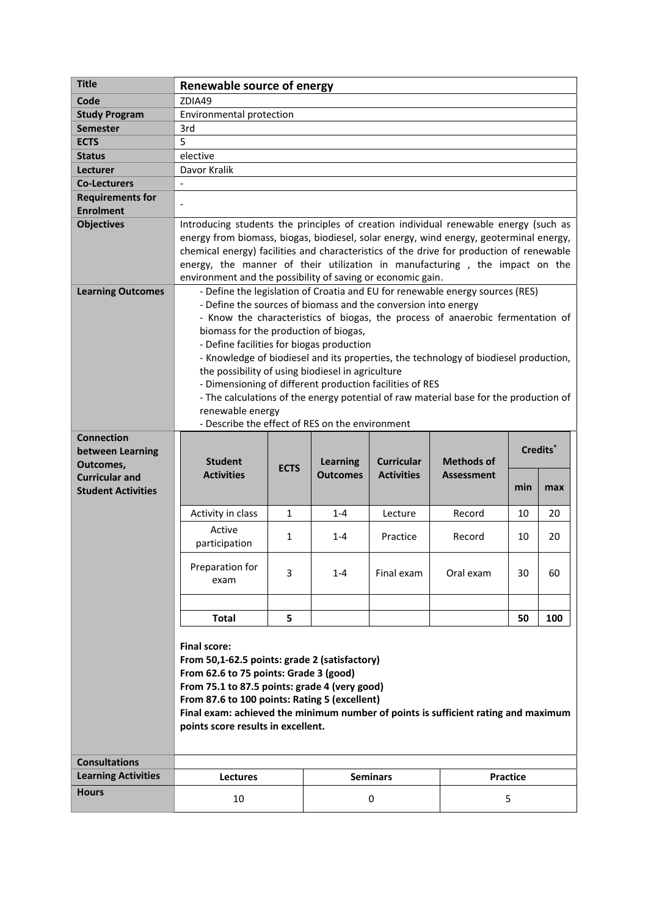|                                                    | <b>Renewable source of energy</b>                                                                                                                                                                                                                                                                                                                                                                                        |              |                                    |                                        |                                                                                       |                      |     |  |
|----------------------------------------------------|--------------------------------------------------------------------------------------------------------------------------------------------------------------------------------------------------------------------------------------------------------------------------------------------------------------------------------------------------------------------------------------------------------------------------|--------------|------------------------------------|----------------------------------------|---------------------------------------------------------------------------------------|----------------------|-----|--|
| Code                                               | ZDIA49                                                                                                                                                                                                                                                                                                                                                                                                                   |              |                                    |                                        |                                                                                       |                      |     |  |
| <b>Study Program</b>                               | Environmental protection                                                                                                                                                                                                                                                                                                                                                                                                 |              |                                    |                                        |                                                                                       |                      |     |  |
| <b>Semester</b>                                    | 3rd                                                                                                                                                                                                                                                                                                                                                                                                                      |              |                                    |                                        |                                                                                       |                      |     |  |
| <b>ECTS</b>                                        | 5                                                                                                                                                                                                                                                                                                                                                                                                                        |              |                                    |                                        |                                                                                       |                      |     |  |
| <b>Status</b>                                      | elective                                                                                                                                                                                                                                                                                                                                                                                                                 |              |                                    |                                        |                                                                                       |                      |     |  |
| Lecturer                                           | Davor Kralik                                                                                                                                                                                                                                                                                                                                                                                                             |              |                                    |                                        |                                                                                       |                      |     |  |
| <b>Co-Lecturers</b>                                | $\overline{\phantom{a}}$                                                                                                                                                                                                                                                                                                                                                                                                 |              |                                    |                                        |                                                                                       |                      |     |  |
| <b>Requirements for</b>                            |                                                                                                                                                                                                                                                                                                                                                                                                                          |              |                                    |                                        |                                                                                       |                      |     |  |
| <b>Enrolment</b>                                   |                                                                                                                                                                                                                                                                                                                                                                                                                          |              |                                    |                                        |                                                                                       |                      |     |  |
| <b>Objectives</b>                                  | Introducing students the principles of creation individual renewable energy (such as<br>energy from biomass, biogas, biodiesel, solar energy, wind energy, geoterminal energy,<br>chemical energy) facilities and characteristics of the drive for production of renewable<br>energy, the manner of their utilization in manufacturing, the impact on the<br>environment and the possibility of saving or economic gain. |              |                                    |                                        |                                                                                       |                      |     |  |
| <b>Learning Outcomes</b>                           |                                                                                                                                                                                                                                                                                                                                                                                                                          |              |                                    |                                        | - Define the legislation of Croatia and EU for renewable energy sources (RES)         |                      |     |  |
|                                                    | - Define the sources of biomass and the conversion into energy                                                                                                                                                                                                                                                                                                                                                           |              |                                    |                                        |                                                                                       |                      |     |  |
|                                                    |                                                                                                                                                                                                                                                                                                                                                                                                                          |              |                                    |                                        | - Know the characteristics of biogas, the process of anaerobic fermentation of        |                      |     |  |
|                                                    | biomass for the production of biogas,                                                                                                                                                                                                                                                                                                                                                                                    |              |                                    |                                        |                                                                                       |                      |     |  |
|                                                    | - Define facilities for biogas production                                                                                                                                                                                                                                                                                                                                                                                |              |                                    |                                        | - Knowledge of biodiesel and its properties, the technology of biodiesel production,  |                      |     |  |
|                                                    | the possibility of using biodiesel in agriculture                                                                                                                                                                                                                                                                                                                                                                        |              |                                    |                                        |                                                                                       |                      |     |  |
|                                                    | - Dimensioning of different production facilities of RES                                                                                                                                                                                                                                                                                                                                                                 |              |                                    |                                        |                                                                                       |                      |     |  |
|                                                    |                                                                                                                                                                                                                                                                                                                                                                                                                          |              |                                    |                                        | - The calculations of the energy potential of raw material base for the production of |                      |     |  |
|                                                    | renewable energy                                                                                                                                                                                                                                                                                                                                                                                                         |              |                                    |                                        |                                                                                       |                      |     |  |
|                                                    | - Describe the effect of RES on the environment                                                                                                                                                                                                                                                                                                                                                                          |              |                                    |                                        |                                                                                       |                      |     |  |
| <b>Connection</b>                                  |                                                                                                                                                                                                                                                                                                                                                                                                                          |              |                                    |                                        |                                                                                       |                      |     |  |
| between Learning                                   | Credits <sup>*</sup>                                                                                                                                                                                                                                                                                                                                                                                                     |              |                                    |                                        |                                                                                       |                      |     |  |
| Outcomes,                                          | <b>Student</b><br><b>Activities</b>                                                                                                                                                                                                                                                                                                                                                                                      | <b>ECTS</b>  | <b>Learning</b><br><b>Outcomes</b> | <b>Curricular</b><br><b>Activities</b> | <b>Methods of</b><br><b>Assessment</b>                                                |                      |     |  |
| <b>Curricular and</b><br><b>Student Activities</b> |                                                                                                                                                                                                                                                                                                                                                                                                                          |              |                                    |                                        |                                                                                       | min                  | max |  |
|                                                    |                                                                                                                                                                                                                                                                                                                                                                                                                          |              |                                    |                                        |                                                                                       |                      |     |  |
|                                                    | Activity in class                                                                                                                                                                                                                                                                                                                                                                                                        | $\mathbf{1}$ | $1 - 4$                            | Lecture                                | Record                                                                                | 10                   | 20  |  |
|                                                    | Active                                                                                                                                                                                                                                                                                                                                                                                                                   |              |                                    |                                        |                                                                                       |                      |     |  |
|                                                    | participation                                                                                                                                                                                                                                                                                                                                                                                                            | 1            | $1 - 4$                            | Practice                               |                                                                                       |                      | 20  |  |
|                                                    |                                                                                                                                                                                                                                                                                                                                                                                                                          |              |                                    |                                        | Record                                                                                | 10                   |     |  |
|                                                    |                                                                                                                                                                                                                                                                                                                                                                                                                          |              |                                    |                                        |                                                                                       |                      |     |  |
|                                                    | Preparation for                                                                                                                                                                                                                                                                                                                                                                                                          | 3            | $1 - 4$                            | Final exam                             | Oral exam                                                                             | 30                   | 60  |  |
|                                                    | exam                                                                                                                                                                                                                                                                                                                                                                                                                     |              |                                    |                                        |                                                                                       |                      |     |  |
|                                                    |                                                                                                                                                                                                                                                                                                                                                                                                                          |              |                                    |                                        |                                                                                       |                      |     |  |
|                                                    |                                                                                                                                                                                                                                                                                                                                                                                                                          |              |                                    |                                        |                                                                                       |                      |     |  |
|                                                    | <b>Total</b>                                                                                                                                                                                                                                                                                                                                                                                                             | 5            |                                    |                                        |                                                                                       | 50                   | 100 |  |
|                                                    | <b>Final score:</b>                                                                                                                                                                                                                                                                                                                                                                                                      |              |                                    |                                        |                                                                                       |                      |     |  |
|                                                    | From 50,1-62.5 points: grade 2 (satisfactory)                                                                                                                                                                                                                                                                                                                                                                            |              |                                    |                                        |                                                                                       |                      |     |  |
|                                                    | From 62.6 to 75 points: Grade 3 (good)                                                                                                                                                                                                                                                                                                                                                                                   |              |                                    |                                        |                                                                                       |                      |     |  |
|                                                    | From 75.1 to 87.5 points: grade 4 (very good)                                                                                                                                                                                                                                                                                                                                                                            |              |                                    |                                        |                                                                                       |                      |     |  |
|                                                    | From 87.6 to 100 points: Rating 5 (excellent)                                                                                                                                                                                                                                                                                                                                                                            |              |                                    |                                        |                                                                                       |                      |     |  |
|                                                    | Final exam: achieved the minimum number of points is sufficient rating and maximum                                                                                                                                                                                                                                                                                                                                       |              |                                    |                                        |                                                                                       |                      |     |  |
|                                                    | points score results in excellent.                                                                                                                                                                                                                                                                                                                                                                                       |              |                                    |                                        |                                                                                       |                      |     |  |
|                                                    |                                                                                                                                                                                                                                                                                                                                                                                                                          |              |                                    |                                        |                                                                                       |                      |     |  |
| <b>Consultations</b>                               |                                                                                                                                                                                                                                                                                                                                                                                                                          |              |                                    |                                        |                                                                                       |                      |     |  |
|                                                    |                                                                                                                                                                                                                                                                                                                                                                                                                          |              |                                    |                                        |                                                                                       |                      |     |  |
| <b>Learning Activities</b><br><b>Hours</b>         | <b>Lectures</b><br>10                                                                                                                                                                                                                                                                                                                                                                                                    |              |                                    | <b>Seminars</b><br>0                   |                                                                                       | <b>Practice</b><br>5 |     |  |